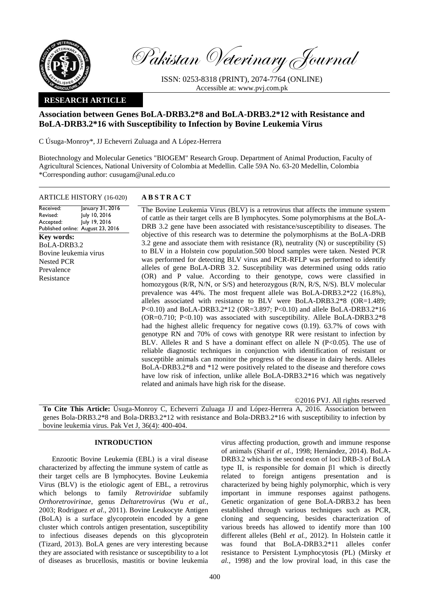

Pakistan Veterinary Journal

ISSN: 0253-8318 (PRINT), 2074-7764 (ONLINE) Accessible at: [www.pvj.com.pk](http://www.pvj.com.pk/)

# **RESEARCH ARTICLE**

# **Association between Genes BoLA-DRB3.2\*8 and BoLA-DRB3.2\*12 with Resistance and BoLA-DRB3.2\*16 with Susceptibility to Infection by Bovine Leukemia Virus**

C Úsuga-Monroy\*, JJ Echeverri Zuluaga and A López-Herrera

Biotechnology and Molecular Genetics "BIOGEM" Research Group. Department of Animal Production, Faculty of Agricultural Sciences, National University of Colombia at Medellin. Calle 59A No. 63-20 Medellin, Colombia \*Corresponding author: cusugam@unal.edu.co

## ARTICLE HISTORY (16-020) **A B S T R A C T**

Received: Revised: Accepted: Published online: August 23, 2016 January 31, 2016 July 10, 2016 July 19, 2016 **Key words:**  BoLA-DRB3.2 Bovine leukemia virus Nested PCR Prevalence Resistance

The Bovine Leukemia Virus (BLV) is a retrovirus that affects the immune system of cattle as their target cells are B lymphocytes. Some polymorphisms at the BoLA-DRB 3.2 gene have been associated with resistance/susceptibility to diseases. The objective of this research was to determine the polymorphisms at the BoLA-DRB 3.2 gene and associate them with resistance  $(R)$ , neutrality  $(N)$  or susceptibility  $(S)$ to BLV in a Holstein cow population.500 blood samples were taken. Nested PCR was performed for detecting BLV virus and PCR-RFLP was performed to identify alleles of gene BoLA-DRB 3.2. Susceptibility was determined using odds ratio (OR) and P value. According to their genotype, cows were classified in homozygous (R/R, N/N, or S/S) and heterozygous (R/N, R/S, N/S). BLV molecular prevalence was 44%. The most frequent allele was BoLA-DRB3.2\*22 (16.8%), alleles associated with resistance to BLV were BoLA-DRB3.2\*8 (OR=1.489; P<0.10) and BoLA-DRB3.2\*12 (OR=3.897; P<0.10) and allele BoLA-DRB3.2\*16 (OR=0.710; P<0.10) was associated with susceptibility. Allele BoLA-DRB3.2\*8 had the highest allelic frequency for negative cows (0.19). 63.7% of cows with genotype RN and 70% of cows with genotype RR were resistant to infection by BLV. Alleles R and S have a dominant effect on allele N ( $P<0.05$ ). The use of reliable diagnostic techniques in conjunction with identification of resistant or susceptible animals can monitor the progress of the disease in dairy herds. Alleles BoLA-DRB3.2\*8 and \*12 were positively related to the disease and therefore cows have low risk of infection, unlike allele BoLA-DRB3.2\*16 which was negatively related and animals have high risk for the disease.

©2016 PVJ. All rights reserved

**To Cite This Article:** Úsuga-Monroy C, Echeverri Zuluaga JJ and López-Herrera A, 2016. Association between genes Bola-DRB3.2\*8 and Bola-DRB3.2\*12 with resistance and Bola-DRB3.2\*16 with susceptibility to infection by bovine leukemia virus. Pak Vet J, 36(4): 400-404.

## **INTRODUCTION**

Enzootic Bovine Leukemia (EBL) is a viral disease characterized by affecting the immune system of cattle as their target cells are B lymphocytes. Bovine Leukemia Virus (BLV) is the etiologic agent of EBL, a retrovirus which belongs to family *Retroviridae* subfamily *Orthoretrovirinae*, genus *Deltaretrovirus* (Wu *et al.,* 2003; Rodriguez *et al*., 2011). Bovine Leukocyte Antigen (BoLA) is a surface glycoprotein encoded by a gene cluster which controls antigen presentation, susceptibility to infectious diseases depends on this glycoprotein (Tizard, 2013). BoLA genes are very interesting because they are associated with resistance or susceptibility to a lot of diseases as brucellosis, mastitis or bovine leukemia

virus affecting production, growth and immune response of animals (Sharif *et al.,* 1998; Hernández, 2014). BoLA-DRB3.2 which is the second exon of loci DRB-3 of BoLA type II, is responsible for domain β1 which is directly related to foreign antigens presentation and is characterized by being highly polymorphic, which is very important in immune responses against pathogens. Genetic organization of gene BoLA-DRB3.2 has been established through various techniques such as PCR, cloning and sequencing, besides characterization of various breeds has allowed to identify more than 100 different alleles (Behl *et al.,* 2012). In Holstein cattle it was found that BoLA-DRB3.2\*11 alleles confer resistance to Persistent Lymphocytosis (PL) (Mirsky *et al.,* 1998) and the low proviral load, in this case the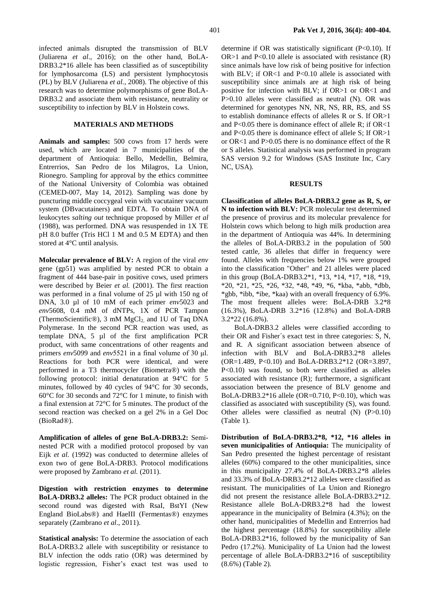infected animals disrupted the transmission of BLV (Juliarena *et al*., 2016); on the other hand, BoLA-DRB3.2\*16 allele has been classified as of susceptibility for lymphosarcoma (LS) and persistent lymphocytosis (PL) by BLV (Juliarena *et al.,* 2008). The objective of this research was to determine polymorphisms of gene BoLA-DRB3.2 and associate them with resistance, neutrality or susceptibility to infection by BLV in Holstein cows.

# **MATERIALS AND METHODS**

**Animals and samples:** 500 cows from 17 herds were used, which are located in 7 municipalities of the department of Antioquia: Bello, Medellin, Belmira, Entrerrios, San Pedro de los Milagros, La Union, Rionegro. Sampling for approval by the ethics committee of the National University of Colombia was obtained (CEMED-007, May 14, 2012). Sampling was done by puncturing middle coccygeal vein with vacutainer vacuum system (DBvacutainers) and EDTA. To obtain DNA of leukocytes *salting out* technique proposed by Miller *et al* (1988), was performed. DNA was resuspended in 1X TE pH 8.0 buffer (Tris HCl 1 M and 0.5 M EDTA) and then stored at 4°C until analysis.

**Molecular prevalence of BLV:** A region of the viral *env* gene (gp51) was amplified by nested PCR to obtain a fragment of 444 base-pair in positive cows, used primers were described by Beier *et al.* (2001). The first reaction was performed in a final volume of 25 µl with 150 ng of DNA, 3.0 µl of 10 mM of each primer *env*5023 and *env*5608, 0.4 mM of dNTPs, 1X of PCR Tampon (ThermoScientific®), 3 mM  $MgCl<sub>2</sub>$  and 1U of Taq DNA Polymerase. In the second PCR reaction was used, as template DNA, 5 µl of the first amplification PCR product, with same concentrations of other reagents and primers *env*5099 and *env*5521 in a final volume of 30 μl. Reactions for both PCR were identical, and were performed in a T3 thermocycler (Biometra®) with the following protocol: initial denaturation at 94°C for 5 minutes, followed by 40 cycles of 94°C for 30 seconds, 60°C for 30 seconds and 72°C for 1 minute, to finish with a final extension at 72°C for 5 minutes. The product of the second reaction was checked on a gel 2% in a Gel Doc (BioRad®).

**Amplification of alleles of gene BoLA-DRB3.2:** Seminested PCR with a modified protocol proposed by van Eijk *et al.* (1992) was conducted to determine alleles of exon two of gene BoLA-DRB3. Protocol modifications were proposed by Zambrano *et al.* (2011).

**Digestion with restriction enzymes to determine BoLA-DRB3.2 alleles:** The PCR product obtained in the second round was digested with RsaI, BstYI (New England BioLabs®) and HaeIII (Fermentas®) enzymes separately (Zambrano *et al*., 2011).

**Statistical analysis:** To determine the association of each BoLA-DRB3.2 allele with susceptibility or resistance to BLV infection the odds ratio (OR) was determined by logistic regression, Fisher's exact test was used to

determine if OR was statistically significant (P<0.10). If OR $>1$  and P $< 0.10$  allele is associated with resistance (R) since animals have low risk of being positive for infection with BLV; if OR<1 and P<0.10 allele is associated with susceptibility since animals are at high risk of being positive for infection with BLV; if OR>1 or OR<1 and P>0.10 alleles were classified as neutral (N). OR was determined for genotypes NN, NR, NS, RR, RS, and SS to establish dominance effects of alleles R or S. If OR>1 and P<0.05 there is dominance effect of allele R; if OR<1 and P<0.05 there is dominance effect of allele S; If OR>1 or OR<1 and P>0.05 there is no dominance effect of the R or S alleles. Statistical analysis was performed in program SAS version 9.2 for Windows (SAS Institute Inc, Cary NC, USA).

#### **RESULTS**

**Classification of alleles BoLA-DRB3.2 gene as R, S, or N to infection with BLV:** PCR molecular test determined the presence of provirus and its molecular prevalence for Holstein cows which belong to high milk production area in the department of Antioquia was 44%. In determining the alleles of BoLA-DRB3.2 in the population of 500 tested cattle, 36 alleles that differ in frequency were found. Alleles with frequencies below 1% were grouped into the classification "Other" and 21 alleles were placed in this group (BoLA-DRB3.2\*1, \*13, \*14, \*17, \*18, \*19, \*20, \*21, \*25, \*26, \*32, \*48, \*49, \*6, \*kba, \*abb, \*dbb, \*gbb, \*ibb, \*ibe, \*kaa) with an overall frequency of 6.9%. The most frequent alleles were: BoLA-DRB 3.2\*8 (16.3%), BoLA-DRB 3.2\*16 (12.8%) and BoLA-DRB 3.2\*22 (16.8%).

BoLA-DRB3.2 alleles were classified according to their OR and Fisher´s exact test in three categories: S, N, and R. A significant association between absence of infection with BLV and BoLA-DRB3.2\*8 alleles (OR=1.489, P<0.10) and BoLA-DRB3.2\*12 (OR=3.897, P<0.10) was found, so both were classified as alleles associated with resistance (R); furthermore, a significant association between the presence of BLV genome and BoLA-DRB3.2\*16 allele (OR=0.710, P<0.10), which was classified as associated with susceptibility (S), was found. Other alleles were classified as neutral (N) (P>0.10) (Table 1).

**Distribution of BoLA-DRB3.2\*8, \*12, \*16 alleles in seven municipalities of Antioquia:** The municipality of San Pedro presented the highest percentage of resistant alleles (60%) compared to the other municipalities, since in this municipality 27.4% of BoLA-DRB3.2\*8 alleles and 33.3% of BoLA-DRB3.2\*12 alleles were classified as resistant. The municipalities of La Union and Rionegro did not present the resistance allele BoLA-DRB3.2\*12. Resistance allele BoLA-DRB3.2\*8 had the lowest appearance in the municipality of Belmira (4.3%); on the other hand, municipalities of Medellin and Entrerrios had the highest percentage (18.8%) for susceptibility allele BoLA-DRB3.2\*16, followed by the municipality of San Pedro (17.2%). Municipality of La Union had the lowest percentage of allele BoLA-DRB3.2\*16 of susceptibility (8.6%) (Table 2).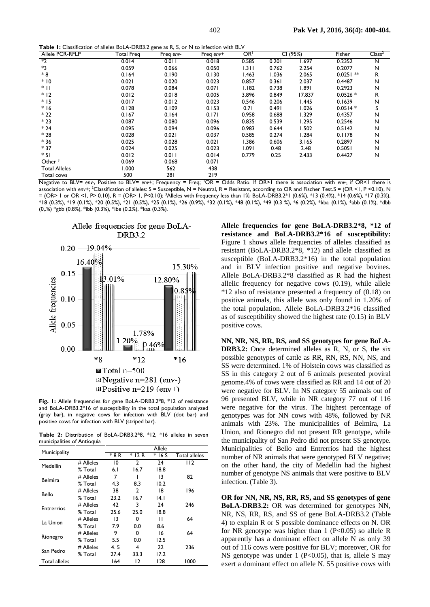**Table 1:** Classification of alleles BoLA-DRB3.2 gene as R, S, or N to infection with BLV

| Allele PCR-RFLP      | Total Freg | <u>ັ້ງນີ້</u><br>Freq env- | Freq env+ | OR <sup>1</sup> |       | CI (95%)     | Fisher      | Class <sup>2</sup> |
|----------------------|------------|----------------------------|-----------|-----------------|-------|--------------|-------------|--------------------|
| $*2$                 | 0.014      | 0.011                      | 0.018     | 0.585           | 0.201 | 1.697        | 0.2352      | N                  |
| *3                   | 0.059      | 0.066                      | 0.050     | 1.311           | 0.762 | 2.254        | 0.2077      | N                  |
| $*8$                 | 0.164      | 0.190                      | 0.130     | 1.463           | 1.036 | 2.065        | $0.0251$ ** | R                  |
| $*10$                | 0.021      | 0.020                      | 0.023     | 0.857           | 0.361 | 2.037        | 0.4487      | N                  |
| $*$                  | 0.078      | 0.084                      | 0.071     | 1.182           | 0.738 | 1.891        | 0.2923      | N                  |
| $*12$                | 0.012      | 0.018                      | 0.005     | 3.896           | 0.849 | 17.837       | $0.0526*$   | R                  |
| $*15$                | 0.017      | 0.012                      | 0.023     | 0.546           | 0.206 | <b>1.445</b> | 0.1639      | N                  |
| $*16$                | 0.128      | 0.109                      | 0.153     | 0.71            | 0.491 | 1.026        | $0.0514*$   | S                  |
| $*22$                | 0.167      | 0.164                      | 0.171     | 0.958           | 0.688 | 1.329        | 0.4357      | N                  |
| $*23$                | 0.087      | 0.080                      | 0.096     | 0.835           | 0.539 | 1.295        | 0.2546      | N                  |
| $*24$                | 0.095      | 0.094                      | 0.096     | 0.983           | 0.644 | 1.502        | 0.5142      | N                  |
| $*28$                | 0.028      | 0.021                      | 0.037     | 0.585           | 0.274 | 1.284        | 0.1178      | N                  |
| $*36$                | 0.025      | 0.028                      | 0.021     | 1.386           | 0.606 | 3.165        | 0.2897      | N                  |
| $*37$                | 0.024      | 0.025                      | 0.023     | 1.091           | 0.48  | 2.48         | 0.5051      | N                  |
| $*51$                | 0.012      | 0.011                      | 0.014     | 0.779           | 0.25  | 2.433        | 0.4427      | N                  |
| Other $3$            | 0.069      | 0.068                      | 0.071     |                 |       |              |             |                    |
| <b>Total Alleles</b> | 1.000      | 562                        | 438       |                 |       |              |             |                    |
| Total cows           | 500        | 281                        | 219       |                 |       |              |             |                    |

Negative to BLV= *env-*, Positive to BLV= *env+*; Frequency = Freq; <sup>1</sup>OR = Odds Ratio. If OR>1 there is association with *env-,* if OR<1 there is association with *env+*; <sup>2</sup>Classification of alleles: S = Susceptible, N = Neutral, R = Resistant, according to OR and Fischer Test.S = (OR <1, P <0.10), N = (OR> 1 or OR <1, P> 0.10), R = (OR> 1, P<0.10); <sup>3</sup>Alleles with frequency less than 1%: BoLA-DRB3.2\*1 (0.6%), \*13 (0.4%), \*14 (0.6%), \*17 (0.3%), \*18 (0.3%), \*19 (0.1%), \*20 (0.5%), \*21 (0.5%), \*25 (0.1%), \*26 (0.9%), \*32 (0.1%), \*48 (0.1%), \*49 (0.3 %), \*6 (0.2%), \*kba (0.1%), \*abb (0.1%), \*dbb (0,.%) \*gbb (0.8%), \*ibb (0.3%), \*ibe (0.2%), \*kaa (0.3%).



Allele frequencies for gene BoLA-

**Fig. 1:** Allele frequencies for gene BoLA-DRB3.2\*8, \*12 of resistance and BoLA-DRB3.2\*16 of susceptibility in the total population analyzed (gray bar), in negative cows for infection with BLV (dot bar) and positive cows for infection with BLV (striped bar).

**Table 2:** Distribution of BoLA-DRB3.2\*8, \*12, \*16 alleles in seven municipalities of Antioquia

| Municipality      |             | Allele |                |        |                      |  |  |  |  |
|-------------------|-------------|--------|----------------|--------|----------------------|--|--|--|--|
|                   |             | * 8 R  | *<br>12 R      | $*16S$ | <b>Total alleles</b> |  |  |  |  |
| Medellin          | # Alleles   | 10     | $\mathfrak z$  | 24     | 112                  |  |  |  |  |
|                   | % Total     | 6. I   | 16.7           | 18.8   |                      |  |  |  |  |
| <b>Belmira</b>    | # Alleles   | 7      |                | 13     | 82                   |  |  |  |  |
|                   | % Total     | 4.3    | 8.3            | 10.2   |                      |  |  |  |  |
| Bello             | $#$ Alleles | 38     | 2              | 18     | 196                  |  |  |  |  |
|                   | % Total     | 23.2   | 16.7           | 14. I  |                      |  |  |  |  |
| <b>Entrerrios</b> | # Alleles   | 42     | 3              | 24     | 246                  |  |  |  |  |
|                   | % Total     | 25.6   | 25.0           | 18.8   |                      |  |  |  |  |
| La Union          | # Alleles   | 13     | 0              | П      | 64                   |  |  |  |  |
|                   | % Total     | 7.9    | 0.0            | 8.6    |                      |  |  |  |  |
|                   | # Alleles   | 9      | O              | 16     | 64                   |  |  |  |  |
| Rionegro          | % Total     | 5.5    | 0.0            | 12.5   |                      |  |  |  |  |
| San Pedro         | # Alleles   | 4.5    | 4              | 22     | 236                  |  |  |  |  |
|                   | % Total     | 27.4   | 33.3           | 17.2   |                      |  |  |  |  |
| Total alleles     |             | 164    | $\overline{2}$ | 128    | 1000                 |  |  |  |  |

**Allele frequencies for gene BoLA-DRB3.2\*8, \*12 of resistance and BoLA-DRB3.2\*16 of susceptibility:**  Figure 1 shows allele frequencies of alleles classified as resistant (BoLA-DRB3.2\*8, \*12) and allele classified as susceptible (BoLA-DRB3.2\*16) in the total population and in BLV infection positive and negative bovines. Allele BoLA-DRB3.2\*8 classified as R had the highest allelic frequency for negative cows (0.19), while allele \*12 also of resistance presented a frequency of (0.18) on positive animals, this allele was only found in 1.20% of the total population. Allele BoLA-DRB3.2\*16 classified as of susceptibility showed the highest rate (0.15) in BLV positive cows.

**NN, NR, NS, RR, RS, and SS genotypes for gene BoLA-DRB3.2:** Once determined alleles as R, N, or S, the six possible genotypes of cattle as RR, RN, RS, NN, NS, and SS were determined. 1% of Holstein cows was classified as SS in this category 2 out of 6 animals presented proviral genome.4% of cows were classified as RR and 14 out of 20 were negative for BLV. In NS category 55 animals out of 96 presented BLV, while in NR category 77 out of 116 were negative for the virus. The highest percentage of genotypes was for NN cows with 48%, followed by NR animals with 23%. The municipalities of Belmira, La Union, and Rionegro did not present RR genotype, while the municipality of San Pedro did not present SS genotype. Municipalities of Bello and Entrerrios had the highest number of NR animals that were genotyped BLV negative; on the other hand, the city of Medellin had the highest number of genotype NS animals that were positive to BLV infection. (Table 3).

**OR for NN, NR, NS, RR, RS, and SS genotypes of gene BoLA-DRB3.2:** OR was determined for genotypes NN, NR, NS, RR, RS, and SS of gene BoLA-DRB3.2 (Table 4) to explain R or S possible dominance effects on N. OR for NR genotype was higher than  $1$  (P<0.05) so allele R apparently has a dominant effect on allele N as only 39 out of 116 cows were positive for BLV; moreover, OR for NS genotype was under 1 (P<0.05), that is, allele S may exert a dominant effect on allele N. 55 positive cows with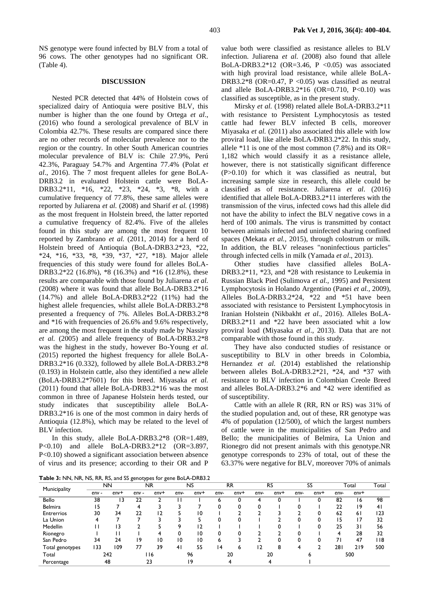NS genotype were found infected by BLV from a total of 96 cows. The other genotypes had no significant OR. (Table 4).

#### **DISCUSSION**

Nested PCR detected that 44% of Holstein cows of specialized dairy of Antioquia were positive BLV, this number is higher than the one found by Ortega *et al*., (2016) who found a serological prevalence of BLV in Colombia 42.7%. These results are compared since there are no other records of molecular prevalence nor to the region or the country. In other South American countries molecular prevalence of BLV is: Chile 27.9%, Perú 42.3%, Paraguay 54.7% and Argentina 77.4% (Polat *et al*., 2016). The 7 most frequent alleles for gene BoLA-DRB3.2 in evaluated Holstein cattle were BoLA-DRB3.2\*11, \*16, \*22, \*23, \*24, \*3, \*8, with a cumulative frequency of 77.8%, these same alleles were reported by Juliarena *et al.* (2008) and Sharif *et al.* (1998) as the most frequent in Holstein breed, the latter reported a cumulative frequency of 82.4%. Five of the alleles found in this study are among the most frequent 10 reported by Zambrano *et al.* (2011, 2014) for a herd of Holstein breed of Antioquia (BoLA-DRB3.2\*23, \*22, \*24, \*16, \*33, \*8, \*39, \*37, \*27, \*18). Major allele frequencies of this study were found for alleles BoLA-DRB3.2\*22 (16.8%), \*8 (16.3%) and \*16 (12.8%), these results are comparable with those found by Juliarena *et al.* (2008) where it was found that allele BoLA-DRB3.2\*16 (14.7%) and allele BoLA-DRB3.2\*22 (11%) had the highest allele frequencies, whilst allele BoLA-DRB3.2\*8 presented a frequency of 7%. Alleles BoLA-DRB3.2\*8 and \*16 with frequencies of 26.6% and 9.6% respectively, are among the most frequent in the study made by Nassiry *et al.* (2005) and allele frequency of BoLA-DRB3.2\*8 was the highest in the study, however Bo-Young *et al.* (2015) reported the highest frequency for allele BoLA-DRB3.2\*16 (0.332), followed by allele BoLA-DRB3.2\*8 (0.193) in Holstein cattle, also they identified a new allele (BoLA-DRB3.2\*7601) for this breed. Miyasaka *et al.* (2011) found that allele BoLA-DRB3.2\*16 was the most common in three of Japanese Holstein herds tested, our study indicates that susceptibility allele BoLA-DRB3.2\*16 is one of the most common in dairy herds of Antioquia (12.8%), which may be related to the level of BLV infection.

In this study, allele BoLA-DRB3.2\*8 (OR=1.489, P<0.10) and allele BoLA-DRB3.2\*12 (OR=3.897, P<0.10) showed a significant association between absence of virus and its presence; according to their OR and P

value both were classified as resistance alleles to BLV infection. Juliarena *et al.* (2008) also found that allele BoLA-DRB3.2\*12 (OR=3.46, P < 0.05) was associated with high proviral load resistance, while allele BoLA-DRB3.2\*8 (OR=0.47, P <0.05) was classified as neutral and allele BoLA-DRB3.2\*16 (OR=0.710, P<0.10) was classified as susceptible, as in the present study.

Mirsky *et al.* (1998) related allele BoLA-DRB3.2\*11 with resistance to Persistent Lymphocytosis as tested cattle had fewer BLV infected B cells, moreover Miyasaka *et al.* (2011) also associated this allele with low proviral load, like allele BoLA-DRB3.2\*22. In this study, allele  $*11$  is one of the most common (7.8%) and its OR= 1,182 which would classify it as a resistance allele, however, there is not statistically significant difference (P>0.10) for which it was classified as neutral, but increasing sample size in research, this allele could be classified as of resistance. Juliarena *et al*. (2016) identified that allele BoLA-DRB3.2\*11 interferes with the transmission of the virus, infected cows had this allele did not have the ability to infect the BLV negative cows in a herd of 100 animals. The virus is transmitted by contact between animals infected and uninfected sharing confined spaces (Mekata *et al.,* 2015), through colostrum or milk. In addition, the BLV releases "noninfectious particles" through infected cells in milk (Yamada *et al*., 2013).

Other studies have classified alleles BoLA-DRB3.2\*11, \*23, and \*28 with resistance to Leukemia in Russian Black Pied (Sulimova *et al.,* 1995) and Persistent Lymphocytosis in Holando Argentino (Panei *et al.,* 2009), Alleles BoLA-DRB3.2\*24, \*22 and \*51 have been associated with resistance to Persistent Lymphocytosis in Iranian Holstein (Nikbakht *et al*., 2016). Alleles BoLA-DRB3.2\*11 and \*22 have been associated whit a low proviral load (Miyasaka *et al*., 2013). Data that are not comparable with those found in this study.

They have also conducted studies of resistance or susceptibility to BLV in other breeds in Colombia, Hernandez *et al.* (2014) established the relationship between alleles BoLA-DRB3.2\*21, \*24, and \*37 with resistance to BLV infection in Colombian Creole Breed and alleles BoLA-DRB3.2\*6 and \*42 were identified as of susceptibility.

Cattle with an allele R (RR, RN or RS) was 31% of the studied population and, out of these, RR genotype was 4% of population (12/500), of which the largest numbers of cattle were in the municipalities of San Pedro and Bello; the municipalities of Belmira, La Union and Rionegro did not present animals with this genotype.NR genotype corresponds to 23% of total, out of these the 63.37% were negative for BLV, moreover 70% of animals

**Table 3:** NN, NR, NS, RR, RS, and SS genotypes for gene BoLA-DRB3.2

| Municipality      | <b>NN</b> |        | <b>NR</b> |        | NS             |                 | <b>RR</b> |        | <b>RS</b> |        | SS   |        | Total |             | Total          |
|-------------------|-----------|--------|-----------|--------|----------------|-----------------|-----------|--------|-----------|--------|------|--------|-------|-------------|----------------|
|                   | $env -$   | $env+$ | $env -$   | $env+$ | env-           | $env+$          | env-      | $env+$ | $env-$    | $env+$ | env- | $env+$ | env-  | $env+$      |                |
| Bello             | 38        | 13     | 22        |        |                |                 | 6         |        |           |        |      | 0      | 82    | 16          | 98             |
| Belmira           | 15        |        |           |        |                |                 |           |        |           |        |      |        | 22    | $ 9\rangle$ | 4 <sub>1</sub> |
| <b>Entrerrios</b> | 30        | 34     | 22        | 12     |                | 10              |           |        |           |        |      | 0      | 62    | 61          | 123            |
| La Union          |           |        |           |        |                |                 |           |        |           |        |      |        | 15    | 17          | 32             |
| Medellin          | H         | 13     |           |        | o              | 12              |           |        |           |        |      | 0      | 25    | 31          | 56             |
| Rionegro          |           |        |           |        |                | 10              | 0         |        |           |        | ŋ    |        | 4     | 28          | 32             |
| San Pedro         | 34        | 24     | 19        | 10     | 10             | $\overline{10}$ | 6         |        |           | Λ      | O    | 0      | 71    | 47          | 118            |
| Total genotypes   | 133       | 109    | 77        | 39     | 4 <sub>l</sub> | 55              | 4         | ь      | 2         | 8      |      |        | 281   | 219         | 500            |
| Total             | 242       |        |           | l 16   |                | 96              |           | 20     |           | 20     |      | ь      |       | 500         |                |
| Percentage        | 48        |        |           | 23     |                | 19              |           |        |           |        |      |        |       |             |                |